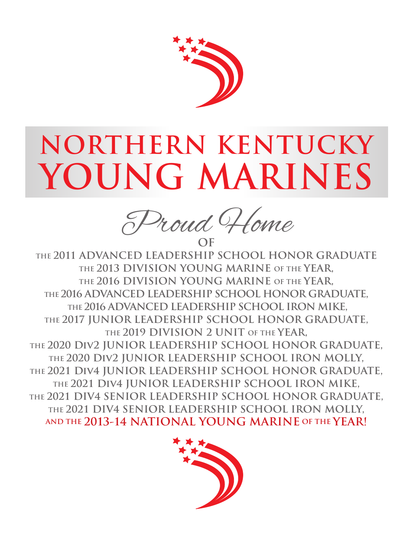

# **NORTHERN KENTUCKY YOUNG MARINES**

Proud Home **OF**

**THE 2011 ADVANCED LEADERSHIP SCHOOL HONOR GRADUATE THE 2013 DIVISION YOUNG MARINE OF THE YEAR, THE 2016 DIVISION YOUNG MARINE OF THE YEAR, THE 2016 ADVANCED LEADERSHIP SCHOOL HONOR GRADUATE, THE 2016 ADVANCED LEADERSHIP SCHOOL IRON MIKE, THE 2017 JUNIOR LEADERSHIP SCHOOL HONOR GRADUATE, THE 2019 DIVISION 2 UNIT OF THE YEAR, THE 2020 Div2 JUNIOR LEADERSHIP SCHOOL HONOR GRADUATE, THE 2020 Div2 JUNIOR LEADERSHIP SCHOOL IRON MOLLY, THE 2021 Div4 JUNIOR LEADERSHIP SCHOOL HONOR GRADUATE, THE 2021 Div4 JUNIOR LEADERSHIP SCHOOL IRON MIKE, THE 2021 DIV4 SENIOR LEADERSHIP SCHOOL HONOR GRADUATE, THE 2021 DIV4 SENIOR LEADERSHIP SCHOOL IRON MOLLY, AND THE 2013-14 NATIONAL YOUNG MARINE OF THE YEAR!**

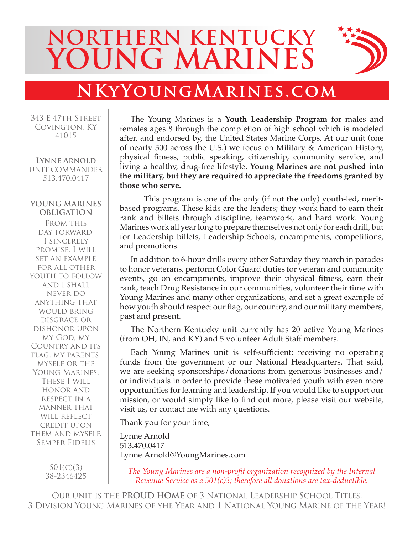# **NORTHERN KENTUCKY YOUNG MARINES**



### **NKyYoungMarines.com**

343 E 47th Street Covington, KY 41015

**Lynne Arnold** UNIT COMMANDER 513.470.0417

#### **YOUNG MARINES OBLIGATION**

FROM THIS DAY FORWARD, I sincerely promise, I will set an example for all other youth to follow and I shall never do anything that would bring disgrace or dishonor upon my God, my Country and its flag, my parents, myself or the Young Marines. These I will honor and respect in a manner that WILL REFLECT credit upon them and myself. Semper Fidelis

The Young Marines is a **Youth Leadership Program** for males and females ages 8 through the completion of high school which is modeled after, and endorsed by, the United States Marine Corps. At our unit (one of nearly 300 across the U.S.) we focus on Military & American History, physical fitness, public speaking, citizenship, community service, and living a healthy, drug-free lifestyle. **Young Marines are not pushed into the military, but they are required to appreciate the freedoms granted by those who serve.** 

 This program is one of the only (if not **the** only) youth-led, meritbased programs. These kids are the leaders; they work hard to earn their rank and billets through discipline, teamwork, and hard work. Young Marines work all year long to prepare themselves not only for each drill, but for Leadership billets, Leadership Schools, encampments, competitions, and promotions.

In addition to 6-hour drills every other Saturday they march in parades to honor veterans, perform Color Guard duties for veteran and community events, go on encampments, improve their physical fitness, earn their rank, teach Drug Resistance in our communities, volunteer their time with Young Marines and many other organizations, and set a great example of how youth should respect our flag, our country, and our military members, past and present.

The Northern Kentucky unit currently has 20 active Young Marines (from OH, IN, and KY) and 5 volunteer Adult Staff members.

Each Young Marines unit is self-sufficient; receiving no operating funds from the government or our National Headquarters. That said, we are seeking sponsorships/donations from generous businesses and/ or individuals in order to provide these motivated youth with even more opportunities for learning and leadership. If you would like to support our mission, or would simply like to find out more, please visit our website, visit us, or contact me with any questions.

Thank you for your time,

Lynne Arnold 513.470.0417 Lynne.Arnold@YoungMarines.com

501(C)(3) 38-2346425

*The Young Marines are a non-profit organization recognized by the Internal Revenue Service as a 501(c)3; therefore all donations are tax-deductible.*

Our unit is the **PROUD HOME** of 3 National Leadership School Titles, 3 Division Young Marines of yhe Year and 1 National Young Marine of the Year!